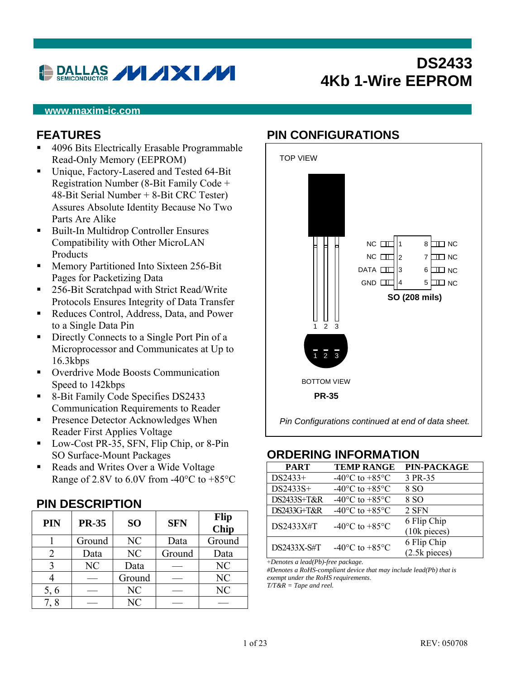# **DALLAS // /X //**

## **DS2433 4Kb 1-Wire EEPROM**

#### **www.maxim-ic.com**

#### **FEATURES**

- 4096 Bits Electrically Erasable Programmable Read-Only Memory (EEPROM)
- Unique, Factory-Lasered and Tested 64-Bit Registration Number (8-Bit Family Code + 48-Bit Serial Number + 8-Bit CRC Tester) Assures Absolute Identity Because No Two Parts Are Alike
- Built-In Multidrop Controller Ensures Compatibility with Other MicroLAN Products
- **Memory Partitioned Into Sixteen 256-Bit** Pages for Packetizing Data
- 256-Bit Scratchpad with Strict Read/Write Protocols Ensures Integrity of Data Transfer
- Reduces Control, Address, Data, and Power to a Single Data Pin
- **Directly Connects to a Single Port Pin of a** Microprocessor and Communicates at Up to 16.3kbps
- Overdrive Mode Boosts Communication Speed to 142kbps
- 8-Bit Family Code Specifies DS2433 Communication Requirements to Reader
- **Presence Detector Acknowledges When** Reader First Applies Voltage
- Low-Cost PR-35, SFN, Flip Chip, or 8-Pin SO Surface-Mount Packages
- Reads and Writes Over a Wide Voltage Range of 2.8V to 6.0V from -40 $\rm ^{o}C$  to +85 $\rm ^{o}C$

#### **PIN DESCRIPTION**

| PIN  | <b>PR-35</b> | SO <sub>1</sub> | <b>SFN</b> | <b>Flip</b><br><b>Chip</b> |
|------|--------------|-----------------|------------|----------------------------|
|      | Ground       | NC              | Data       | Ground                     |
|      | Data         | NC              | Ground     | Data                       |
|      | NC           | Data            |            | NC                         |
|      |              | Ground          |            | NC                         |
| 5, 6 |              | NC              |            | NC                         |
|      |              | N <sub>C</sub>  |            |                            |

#### **PIN CONFIGURATIONS**



#### **ORDERING INFORMATION**

| <b>PART</b> | <b>TEMP RANGE</b>                            | PIN-PACKAGE     |
|-------------|----------------------------------------------|-----------------|
| DS2433+     | -40 $\rm{^{\circ}C}$ to +85 $\rm{^{\circ}C}$ | 3 PR-35         |
| DS2433S+    | -40 $^{\circ}$ C to +85 $^{\circ}$ C         | 8 SO            |
| DS2433S+T&R | -40 $\rm{^{\circ}C}$ to +85 $\rm{^{\circ}C}$ | 8 SO            |
| DS2433G+T&R | -40 $\rm{^{\circ}C}$ to +85 $\rm{^{\circ}C}$ | 2 SFN           |
| DS2433X#T   | -40 $\rm{^{\circ}C}$ to +85 $\rm{^{\circ}C}$ | 6 Flip Chip     |
|             |                                              | $(10k)$ pieces) |
| DS2433X-S#T | -40 $^{\circ}$ C to +85 $^{\circ}$ C         | 6 Flip Chip     |
|             |                                              | $(2.5k$ pieces) |

(2.5k pieces) +*Denotes a lead(Pb)-free package.* 

*#Denotes a RoHS-compliant device that may include lead(Pb) that is exempt under the RoHS requirements*.

*T/T&R = Tape and reel.*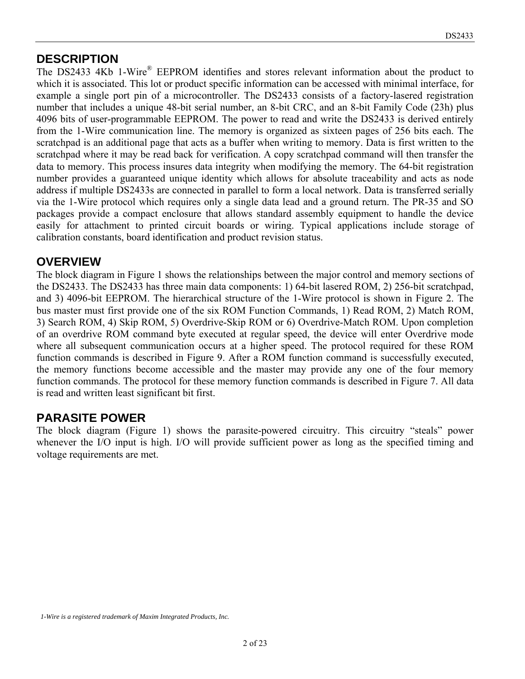#### **DESCRIPTION**

The DS2433 4Kb 1-Wire<sup>®</sup> EEPROM identifies and stores relevant information about the product to which it is associated. This lot or product specific information can be accessed with minimal interface, for example a single port pin of a microcontroller. The DS2433 consists of a factory-lasered registration number that includes a unique 48-bit serial number, an 8-bit CRC, and an 8-bit Family Code (23h) plus 4096 bits of user-programmable EEPROM. The power to read and write the DS2433 is derived entirely from the 1-Wire communication line. The memory is organized as sixteen pages of 256 bits each. The scratchpad is an additional page that acts as a buffer when writing to memory. Data is first written to the scratchpad where it may be read back for verification. A copy scratchpad command will then transfer the data to memory. This process insures data integrity when modifying the memory. The 64-bit registration number provides a guaranteed unique identity which allows for absolute traceability and acts as node address if multiple DS2433s are connected in parallel to form a local network. Data is transferred serially via the 1-Wire protocol which requires only a single data lead and a ground return. The PR-35 and SO packages provide a compact enclosure that allows standard assembly equipment to handle the device easily for attachment to printed circuit boards or wiring. Typical applications include storage of calibration constants, board identification and product revision status.

#### **OVERVIEW**

The block diagram in Figure 1 shows the relationships between the major control and memory sections of the DS2433. The DS2433 has three main data components: 1) 64-bit lasered ROM, 2) 256-bit scratchpad, and 3) 4096-bit EEPROM. The hierarchical structure of the 1-Wire protocol is shown in Figure 2. The bus master must first provide one of the six ROM Function Commands, 1) Read ROM, 2) Match ROM, 3) Search ROM, 4) Skip ROM, 5) Overdrive-Skip ROM or 6) Overdrive-Match ROM. Upon completion of an overdrive ROM command byte executed at regular speed, the device will enter Overdrive mode where all subsequent communication occurs at a higher speed. The protocol required for these ROM function commands is described in Figure 9. After a ROM function command is successfully executed, the memory functions become accessible and the master may provide any one of the four memory function commands. The protocol for these memory function commands is described in Figure 7. All data is read and written least significant bit first.

#### **PARASITE POWER**

The block diagram (Figure 1) shows the parasite-powered circuitry. This circuitry "steals" power whenever the I/O input is high. I/O will provide sufficient power as long as the specified timing and voltage requirements are met.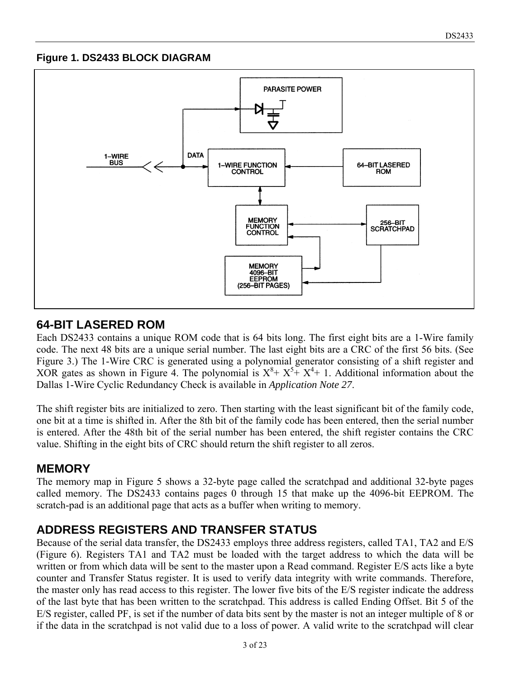#### **Figure 1. DS2433 BLOCK DIAGRAM**



### **64-BIT LASERED ROM**

Each DS2433 contains a unique ROM code that is 64 bits long. The first eight bits are a 1-Wire family code. The next 48 bits are a unique serial number. The last eight bits are a CRC of the first 56 bits. (See Figure 3.) The 1-Wire CRC is generated using a polynomial generator consisting of a shift register and XOR gates as shown in Figure 4. The polynomial is  $X^8 + X^5 + X^4 + 1$ . Additional information about the Dallas 1-Wire Cyclic Redundancy Check is available in *Application Note 27*.

The shift register bits are initialized to zero. Then starting with the least significant bit of the family code, one bit at a time is shifted in. After the 8th bit of the family code has been entered, then the serial number is entered. After the 48th bit of the serial number has been entered, the shift register contains the CRC value. Shifting in the eight bits of CRC should return the shift register to all zeros.

### **MEMORY**

The memory map in Figure 5 shows a 32-byte page called the scratchpad and additional 32-byte pages called memory. The DS2433 contains pages 0 through 15 that make up the 4096-bit EEPROM. The scratch-pad is an additional page that acts as a buffer when writing to memory.

### **ADDRESS REGISTERS AND TRANSFER STATUS**

Because of the serial data transfer, the DS2433 employs three address registers, called TA1, TA2 and E/S (Figure 6). Registers TA1 and TA2 must be loaded with the target address to which the data will be written or from which data will be sent to the master upon a Read command. Register E/S acts like a byte counter and Transfer Status register. It is used to verify data integrity with write commands. Therefore, the master only has read access to this register. The lower five bits of the E/S register indicate the address of the last byte that has been written to the scratchpad. This address is called Ending Offset. Bit 5 of the E/S register, called PF, is set if the number of data bits sent by the master is not an integer multiple of 8 or if the data in the scratchpad is not valid due to a loss of power. A valid write to the scratchpad will clear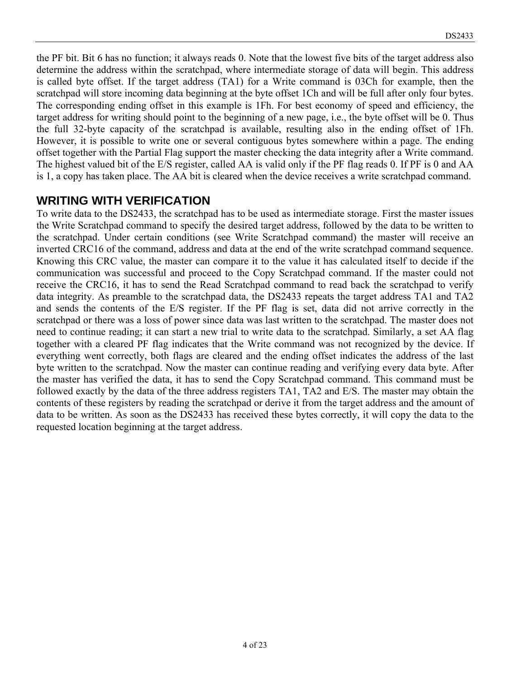the PF bit. Bit 6 has no function; it always reads 0. Note that the lowest five bits of the target address also determine the address within the scratchpad, where intermediate storage of data will begin. This address is called byte offset. If the target address (TA1) for a Write command is 03Ch for example, then the scratchpad will store incoming data beginning at the byte offset 1Ch and will be full after only four bytes. The corresponding ending offset in this example is 1Fh. For best economy of speed and efficiency, the target address for writing should point to the beginning of a new page, i.e., the byte offset will be 0. Thus the full 32-byte capacity of the scratchpad is available, resulting also in the ending offset of 1Fh. However, it is possible to write one or several contiguous bytes somewhere within a page. The ending offset together with the Partial Flag support the master checking the data integrity after a Write command. The highest valued bit of the E/S register, called AA is valid only if the PF flag reads 0. If PF is 0 and AA is 1, a copy has taken place. The AA bit is cleared when the device receives a write scratchpad command.

#### **WRITING WITH VERIFICATION**

To write data to the DS2433, the scratchpad has to be used as intermediate storage. First the master issues the Write Scratchpad command to specify the desired target address, followed by the data to be written to the scratchpad. Under certain conditions (see Write Scratchpad command) the master will receive an inverted CRC16 of the command, address and data at the end of the write scratchpad command sequence. Knowing this CRC value, the master can compare it to the value it has calculated itself to decide if the communication was successful and proceed to the Copy Scratchpad command. If the master could not receive the CRC16, it has to send the Read Scratchpad command to read back the scratchpad to verify data integrity. As preamble to the scratchpad data, the DS2433 repeats the target address TA1 and TA2 and sends the contents of the E/S register. If the PF flag is set, data did not arrive correctly in the scratchpad or there was a loss of power since data was last written to the scratchpad. The master does not need to continue reading; it can start a new trial to write data to the scratchpad. Similarly, a set AA flag together with a cleared PF flag indicates that the Write command was not recognized by the device. If everything went correctly, both flags are cleared and the ending offset indicates the address of the last byte written to the scratchpad. Now the master can continue reading and verifying every data byte. After the master has verified the data, it has to send the Copy Scratchpad command. This command must be followed exactly by the data of the three address registers TA1, TA2 and E/S. The master may obtain the contents of these registers by reading the scratchpad or derive it from the target address and the amount of data to be written. As soon as the DS2433 has received these bytes correctly, it will copy the data to the requested location beginning at the target address.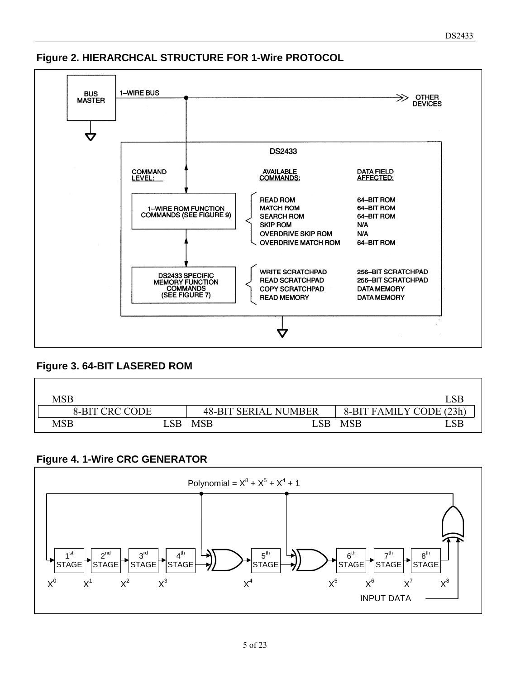

#### **Figure 2. HIERARCHCAL STRUCTURE FOR 1-Wire PROTOCOL**

#### **Figure 3. 64-BIT LASERED ROM**

| MSB                   |                         |            |                             |                         |    |
|-----------------------|-------------------------|------------|-----------------------------|-------------------------|----|
| <b>8-BIT CRC CODE</b> |                         |            | <b>48-BIT SERIAL NUMBER</b> | 8-BIT FAMILY CODE (23h) |    |
| $\mathbf{MSB}$        | $\mathcal{S}\mathbf{B}$ | <b>MSB</b> | $\_{\rm SB}$                | <b>MSB</b>              | SB |

#### **Figure 4. 1-Wire CRC GENERATOR**

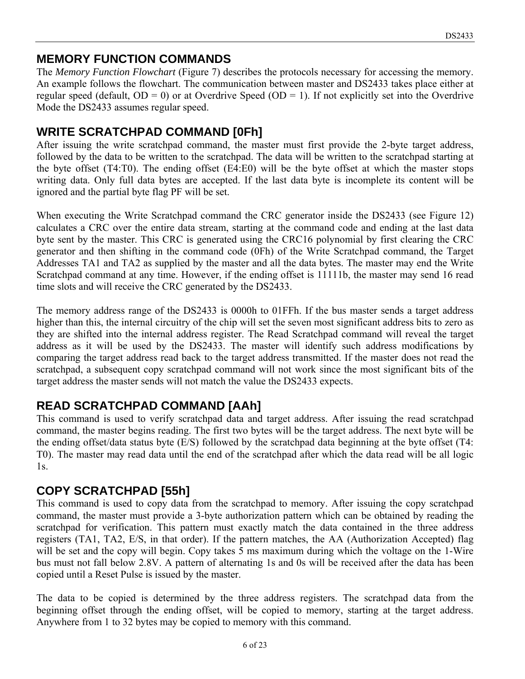### **MEMORY FUNCTION COMMANDS**

The *Memory Function Flowchart* (Figure 7) describes the protocols necessary for accessing the memory. An example follows the flowchart. The communication between master and DS2433 takes place either at regular speed (default,  $OD = 0$ ) or at Overdrive Speed ( $OD = 1$ ). If not explicitly set into the Overdrive Mode the DS2433 assumes regular speed.

### **WRITE SCRATCHPAD COMMAND [0Fh]**

After issuing the write scratchpad command, the master must first provide the 2-byte target address, followed by the data to be written to the scratchpad. The data will be written to the scratchpad starting at the byte offset (T4:T0). The ending offset (E4:E0) will be the byte offset at which the master stops writing data. Only full data bytes are accepted. If the last data byte is incomplete its content will be ignored and the partial byte flag PF will be set.

When executing the Write Scratchpad command the CRC generator inside the DS2433 (see Figure 12) calculates a CRC over the entire data stream, starting at the command code and ending at the last data byte sent by the master. This CRC is generated using the CRC16 polynomial by first clearing the CRC generator and then shifting in the command code (0Fh) of the Write Scratchpad command, the Target Addresses TA1 and TA2 as supplied by the master and all the data bytes. The master may end the Write Scratchpad command at any time. However, if the ending offset is 11111b, the master may send 16 read time slots and will receive the CRC generated by the DS2433.

The memory address range of the DS2433 is 0000h to 01FFh. If the bus master sends a target address higher than this, the internal circuitry of the chip will set the seven most significant address bits to zero as they are shifted into the internal address register. The Read Scratchpad command will reveal the target address as it will be used by the DS2433. The master will identify such address modifications by comparing the target address read back to the target address transmitted. If the master does not read the scratchpad, a subsequent copy scratchpad command will not work since the most significant bits of the target address the master sends will not match the value the DS2433 expects.

### **READ SCRATCHPAD COMMAND [AAh]**

This command is used to verify scratchpad data and target address. After issuing the read scratchpad command, the master begins reading. The first two bytes will be the target address. The next byte will be the ending offset/data status byte (E/S) followed by the scratchpad data beginning at the byte offset (T4: T0). The master may read data until the end of the scratchpad after which the data read will be all logic 1s.

### **COPY SCRATCHPAD [55h]**

This command is used to copy data from the scratchpad to memory. After issuing the copy scratchpad command, the master must provide a 3-byte authorization pattern which can be obtained by reading the scratchpad for verification. This pattern must exactly match the data contained in the three address registers (TA1, TA2, E/S, in that order). If the pattern matches, the AA (Authorization Accepted) flag will be set and the copy will begin. Copy takes 5 ms maximum during which the voltage on the 1-Wire bus must not fall below 2.8V. A pattern of alternating 1s and 0s will be received after the data has been copied until a Reset Pulse is issued by the master.

The data to be copied is determined by the three address registers. The scratchpad data from the beginning offset through the ending offset, will be copied to memory, starting at the target address. Anywhere from 1 to 32 bytes may be copied to memory with this command.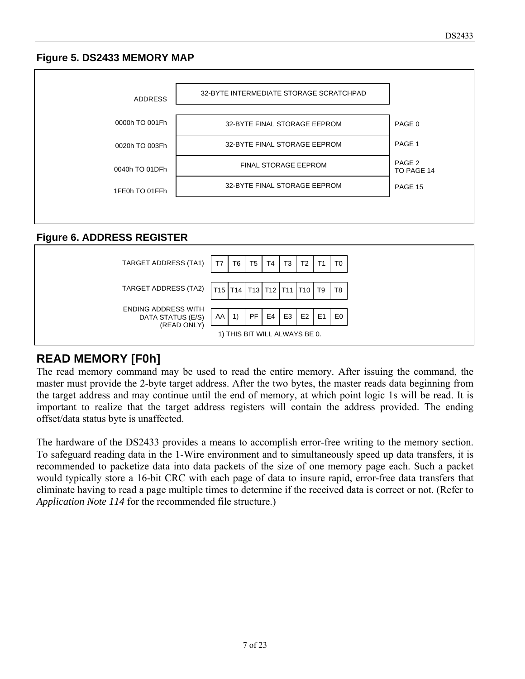#### **Figure 5. DS2433 MEMORY MAP**



#### **Figure 6. ADDRESS REGISTER**



#### **READ MEMORY [F0h]**

The read memory command may be used to read the entire memory. After issuing the command, the master must provide the 2-byte target address. After the two bytes, the master reads data beginning from the target address and may continue until the end of memory, at which point logic 1s will be read. It is important to realize that the target address registers will contain the address provided. The ending offset/data status byte is unaffected.

The hardware of the DS2433 provides a means to accomplish error-free writing to the memory section. To safeguard reading data in the 1-Wire environment and to simultaneously speed up data transfers, it is recommended to packetize data into data packets of the size of one memory page each. Such a packet would typically store a 16-bit CRC with each page of data to insure rapid, error-free data transfers that eliminate having to read a page multiple times to determine if the received data is correct or not. (Refer to *Application Note 114* for the recommended file structure.)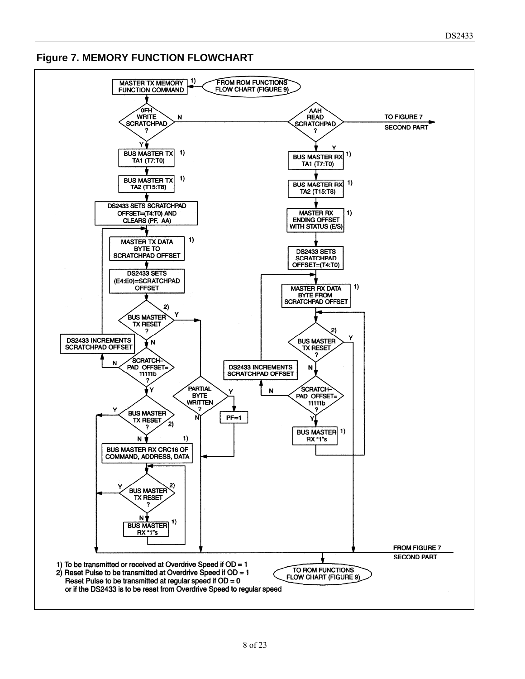**Figure 7. MEMORY FUNCTION FLOWCHART** 

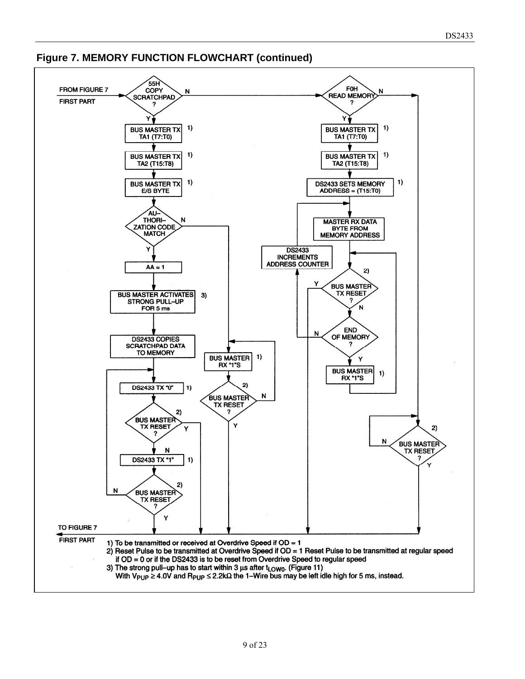

#### **Figure 7. MEMORY FUNCTION FLOWCHART (continued)**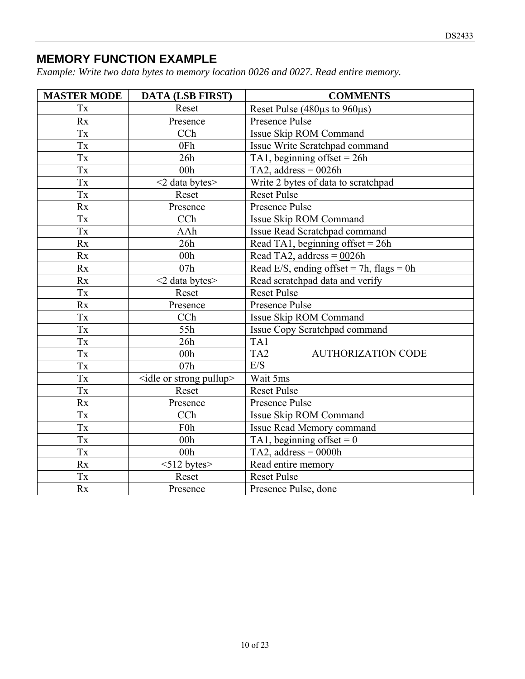### **MEMORY FUNCTION EXAMPLE**

*Example: Write two data bytes to memory location 0026 and 0027. Read entire memory.* 

| <b>MASTER MODE</b>     | <b>DATA (LSB FIRST)</b>                 | <b>COMMENTS</b>                              |
|------------------------|-----------------------------------------|----------------------------------------------|
| Tx                     | Reset                                   | Reset Pulse (480 $\mu$ s to 960 $\mu$ s)     |
| Rx                     | Presence                                | Presence Pulse                               |
| Tx                     | CCh                                     | Issue Skip ROM Command                       |
| Tx                     | 0Fh                                     | Issue Write Scratchpad command               |
| Tx                     | 26h                                     | TA1, beginning offset = $26h$                |
| Tx                     | 00 <sub>h</sub>                         | TA2, address = $0026h$                       |
| $\mathbf{T}\mathbf{x}$ | <2 data bytes>                          | Write 2 bytes of data to scratchpad          |
| <b>Tx</b>              | Reset                                   | <b>Reset Pulse</b>                           |
| Rx                     | Presence                                | Presence Pulse                               |
| Tx                     | CCh                                     | Issue Skip ROM Command                       |
| Tx                     | AAh                                     | Issue Read Scratchpad command                |
| Rx                     | 26h                                     | Read TA1, beginning offset = $26h$           |
| Rx                     | 00 <sub>h</sub>                         | Read TA2, address = $0026h$                  |
| Rx                     | 07h                                     | Read E/S, ending offset = 7h, flags = 0h     |
| Rx                     | $<$ 2 data bytes $>$                    | Read scratchpad data and verify              |
| Tx                     | Reset                                   | <b>Reset Pulse</b>                           |
| Rx                     | Presence                                | Presence Pulse                               |
| Tx                     | CCh                                     | Issue Skip ROM Command                       |
| Tx                     | 55h                                     | Issue Copy Scratchpad command                |
| Tx                     | 26h                                     | TA1                                          |
| Tx                     | 00h                                     | TA <sub>2</sub><br><b>AUTHORIZATION CODE</b> |
| Tx                     | 07h                                     | E/S                                          |
| Tx                     | <idle or="" pullup="" strong=""></idle> | Wait 5ms                                     |
| Tx                     | Reset                                   | <b>Reset Pulse</b>                           |
| Rx                     | Presence                                | Presence Pulse                               |
| Tx                     | CCh                                     | Issue Skip ROM Command                       |
| Tx                     | F <sub>0</sub> h                        | Issue Read Memory command                    |
| Tx                     | 00 <sub>h</sub>                         | TA1, beginning offset = $0$                  |
| Tx                     | 00 <sub>h</sub>                         | TA2, address = $0000h$                       |
| Rx                     | $<$ 512 bytes $>$                       | Read entire memory                           |
| Tx                     | Reset                                   | <b>Reset Pulse</b>                           |
| Rx                     | Presence                                | Presence Pulse, done                         |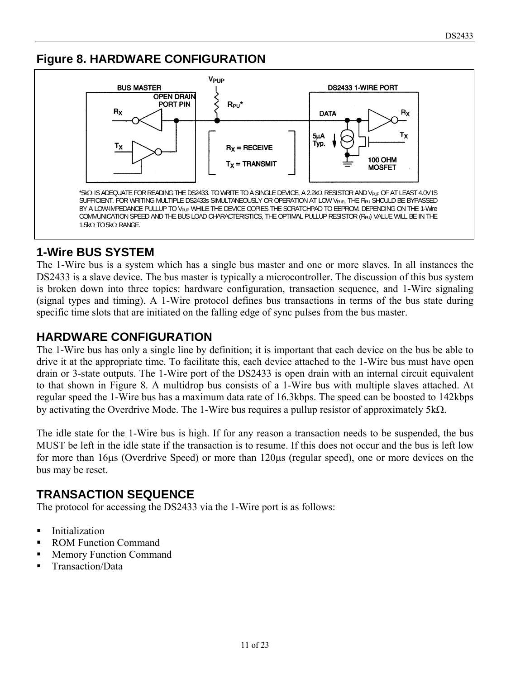### **Figure 8. HARDWARE CONFIGURATION**



### **1-Wire BUS SYSTEM**

The 1-Wire bus is a system which has a single bus master and one or more slaves. In all instances the DS2433 is a slave device. The bus master is typically a microcontroller. The discussion of this bus system is broken down into three topics: hardware configuration, transaction sequence, and 1-Wire signaling (signal types and timing). A 1-Wire protocol defines bus transactions in terms of the bus state during specific time slots that are initiated on the falling edge of sync pulses from the bus master.

### **HARDWARE CONFIGURATION**

The 1-Wire bus has only a single line by definition; it is important that each device on the bus be able to drive it at the appropriate time. To facilitate this, each device attached to the 1-Wire bus must have open drain or 3-state outputs. The 1-Wire port of the DS2433 is open drain with an internal circuit equivalent to that shown in Figure 8. A multidrop bus consists of a 1-Wire bus with multiple slaves attached. At regular speed the 1-Wire bus has a maximum data rate of 16.3kbps. The speed can be boosted to 142kbps by activating the Overdrive Mode. The 1-Wire bus requires a pullup resistor of approximately  $5k\Omega$ .

The idle state for the 1-Wire bus is high. If for any reason a transaction needs to be suspended, the bus MUST be left in the idle state if the transaction is to resume. If this does not occur and the bus is left low for more than 16us (Overdrive Speed) or more than 120us (regular speed), one or more devices on the bus may be reset.

### **TRANSACTION SEQUENCE**

The protocol for accessing the DS2433 via the 1-Wire port is as follows:

- **Initialization**
- ROM Function Command
- **Memory Function Command**
- Transaction/Data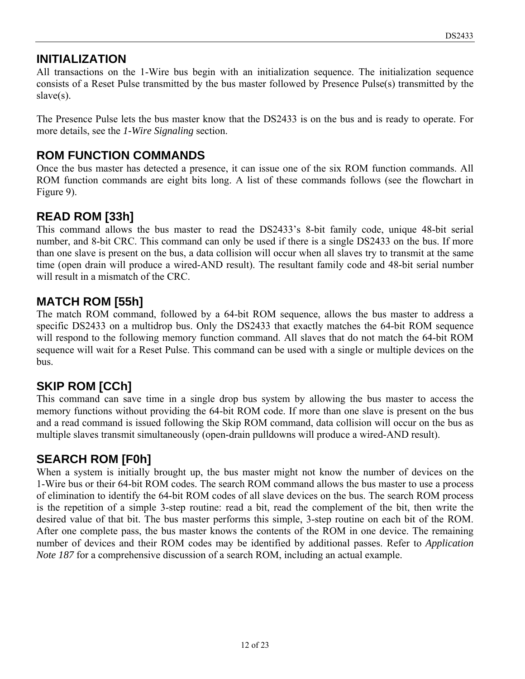#### **INITIALIZATION**

All transactions on the 1-Wire bus begin with an initialization sequence. The initialization sequence consists of a Reset Pulse transmitted by the bus master followed by Presence Pulse(s) transmitted by the slave(s).

The Presence Pulse lets the bus master know that the DS2433 is on the bus and is ready to operate. For more details, see the *1-Wire Signaling* section.

### **ROM FUNCTION COMMANDS**

Once the bus master has detected a presence, it can issue one of the six ROM function commands. All ROM function commands are eight bits long. A list of these commands follows (see the flowchart in Figure 9).

### **READ ROM [33h]**

This command allows the bus master to read the DS2433's 8-bit family code, unique 48-bit serial number, and 8-bit CRC. This command can only be used if there is a single DS2433 on the bus. If more than one slave is present on the bus, a data collision will occur when all slaves try to transmit at the same time (open drain will produce a wired-AND result). The resultant family code and 48-bit serial number will result in a mismatch of the CRC.

### **MATCH ROM [55h]**

The match ROM command, followed by a 64-bit ROM sequence, allows the bus master to address a specific DS2433 on a multidrop bus. Only the DS2433 that exactly matches the 64-bit ROM sequence will respond to the following memory function command. All slaves that do not match the 64-bit ROM sequence will wait for a Reset Pulse. This command can be used with a single or multiple devices on the bus.

### **SKIP ROM [CCh]**

This command can save time in a single drop bus system by allowing the bus master to access the memory functions without providing the 64-bit ROM code. If more than one slave is present on the bus and a read command is issued following the Skip ROM command, data collision will occur on the bus as multiple slaves transmit simultaneously (open-drain pulldowns will produce a wired-AND result).

### **SEARCH ROM [F0h]**

When a system is initially brought up, the bus master might not know the number of devices on the 1-Wire bus or their 64-bit ROM codes. The search ROM command allows the bus master to use a process of elimination to identify the 64-bit ROM codes of all slave devices on the bus. The search ROM process is the repetition of a simple 3-step routine: read a bit, read the complement of the bit, then write the desired value of that bit. The bus master performs this simple, 3-step routine on each bit of the ROM. After one complete pass, the bus master knows the contents of the ROM in one device. The remaining number of devices and their ROM codes may be identified by additional passes. Refer to *Application Note 187* for a comprehensive discussion of a search ROM, including an actual example.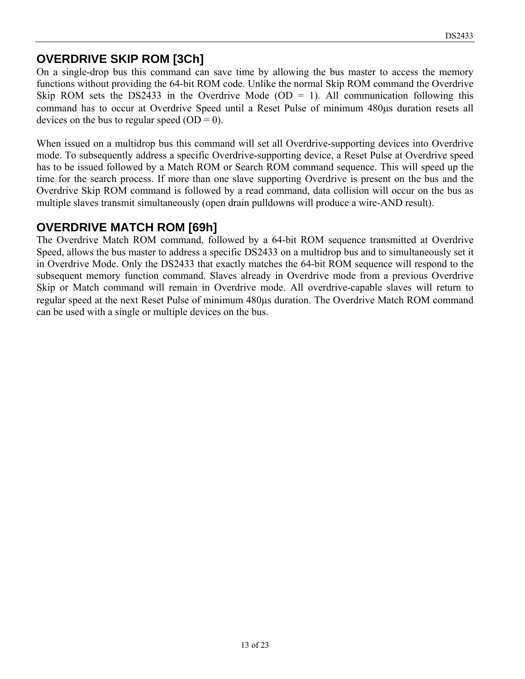### **OVERDRIVE SKIP ROM [3Ch]**

On a single-drop bus this command can save time by allowing the bus master to access the memory functions without providing the 64-bit ROM code. Unlike the normal Skip ROM command the Overdrive Skip ROM sets the DS2433 in the Overdrive Mode (OD = 1). All communication following this command has to occur at Overdrive Speed until a Reset Pulse of minimum 480 us duration resets all devices on the bus to regular speed  $(OD = 0)$ .

When issued on a multidrop bus this command will set all Overdrive-supporting devices into Overdrive mode. To subsequently address a specific Overdrive-supporting device, a Reset Pulse at Overdrive speed has to be issued followed by a Match ROM or Search ROM command sequence. This will speed up the time for the search process. If more than one slave supporting Overdrive is present on the bus and the Overdrive Skip ROM command is followed by a read command, data collision will occur on the bus as multiple slaves transmit simultaneously (open drain pulldowns will produce a wire-AND result).

### **OVERDRIVE MATCH ROM [69h]**

The Overdrive Match ROM command, followed by a 64-bit ROM sequence transmitted at Overdrive Speed, allows the bus master to address a specific DS2433 on a multidrop bus and to simultaneously set it in Overdrive Mode. Only the DS2433 that exactly matches the 64-bit ROM sequence will respond to the subsequent memory function command. Slaves already in Overdrive mode from a previous Overdrive Skip or Match command will remain in Overdrive mode. All overdrive-capable slaves will return to regular speed at the next Reset Pulse of minimum 480  $\mu$ s duration. The Overdrive Match ROM command can be used with a single or multiple devices on the bus.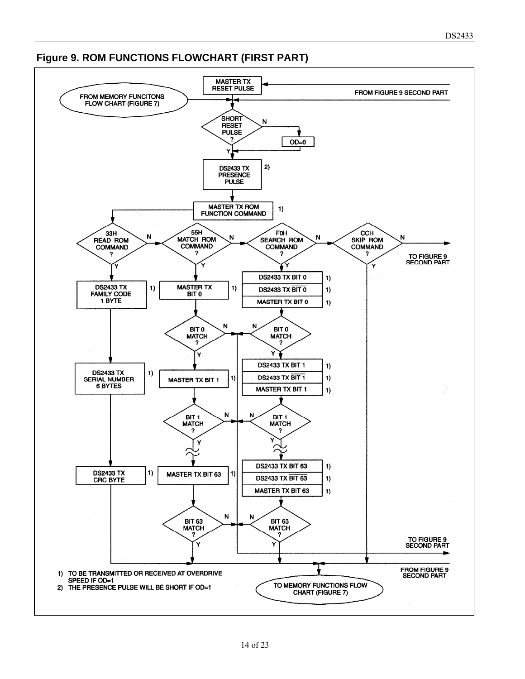

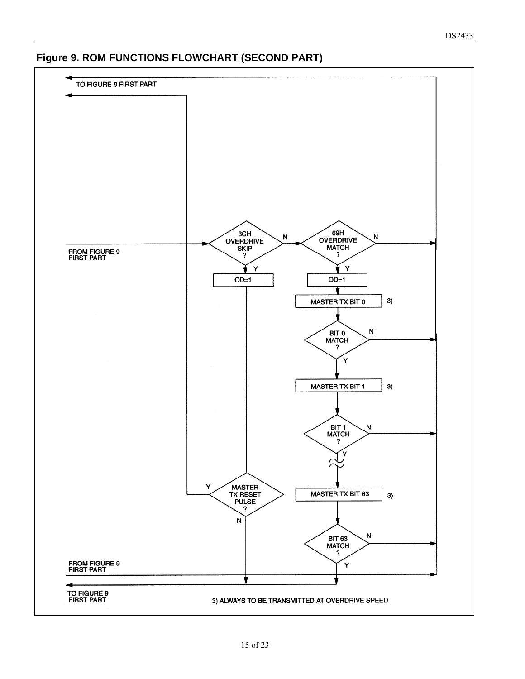#### **Figure 9. ROM FUNCTIONS FLOWCHART (SECOND PART)**

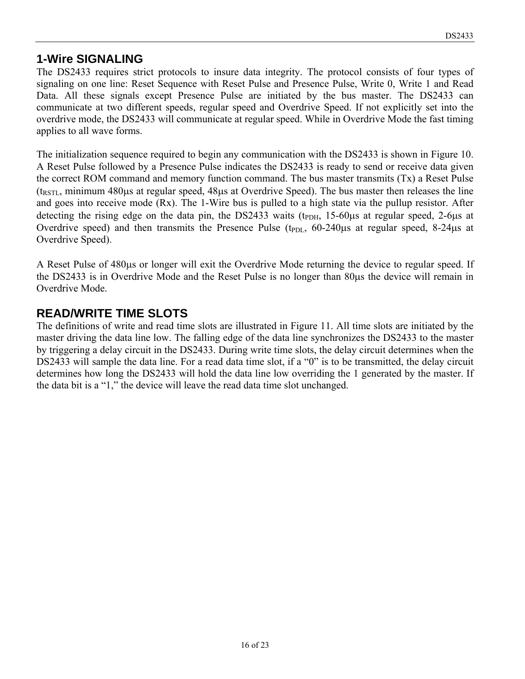#### **1-Wire SIGNALING**

The DS2433 requires strict protocols to insure data integrity. The protocol consists of four types of signaling on one line: Reset Sequence with Reset Pulse and Presence Pulse, Write 0, Write 1 and Read Data. All these signals except Presence Pulse are initiated by the bus master. The DS2433 can communicate at two different speeds, regular speed and Overdrive Speed. If not explicitly set into the overdrive mode, the DS2433 will communicate at regular speed. While in Overdrive Mode the fast timing applies to all wave forms.

The initialization sequence required to begin any communication with the DS2433 is shown in Figure 10. A Reset Pulse followed by a Presence Pulse indicates the DS2433 is ready to send or receive data given the correct ROM command and memory function command. The bus master transmits (Tx) a Reset Pulse  $(t<sub>RSTL</sub>)$ , minimum 480 $\mu$ s at regular speed, 48 $\mu$ s at Overdrive Speed). The bus master then releases the line and goes into receive mode (Rx). The 1-Wire bus is pulled to a high state via the pullup resistor. After detecting the rising edge on the data pin, the DS2433 waits ( $t_{PDH}$ , 15-60 $\mu$ s at regular speed, 2-6 $\mu$ s at Overdrive speed) and then transmits the Presence Pulse ( $t_{PDL}$ , 60-240 $\mu$ s at regular speed, 8-24 $\mu$ s at Overdrive Speed).

A Reset Pulse of 480 $\mu$ s or longer will exit the Overdrive Mode returning the device to regular speed. If the DS2433 is in Overdrive Mode and the Reset Pulse is no longer than 80  $\mu$ s the device will remain in Overdrive Mode.

#### **READ/WRITE TIME SLOTS**

The definitions of write and read time slots are illustrated in Figure 11. All time slots are initiated by the master driving the data line low. The falling edge of the data line synchronizes the DS2433 to the master by triggering a delay circuit in the DS2433. During write time slots, the delay circuit determines when the DS2433 will sample the data line. For a read data time slot, if a "0" is to be transmitted, the delay circuit determines how long the DS2433 will hold the data line low overriding the 1 generated by the master. If the data bit is a "1," the device will leave the read data time slot unchanged.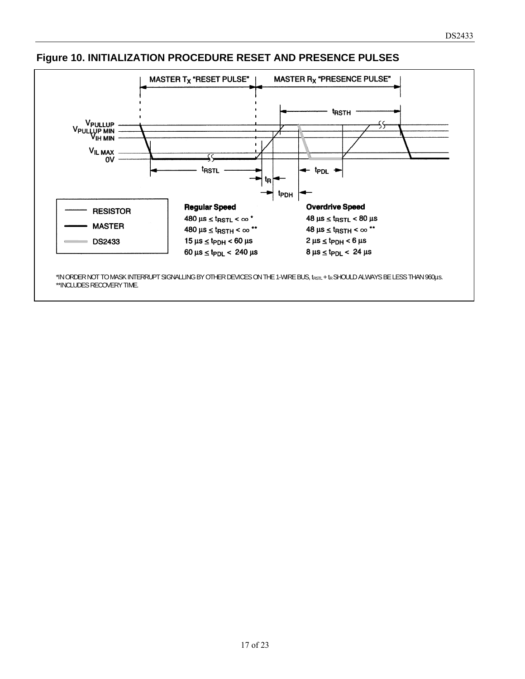

#### **Figure 10. INITIALIZATION PROCEDURE RESET AND PRESENCE PULSES**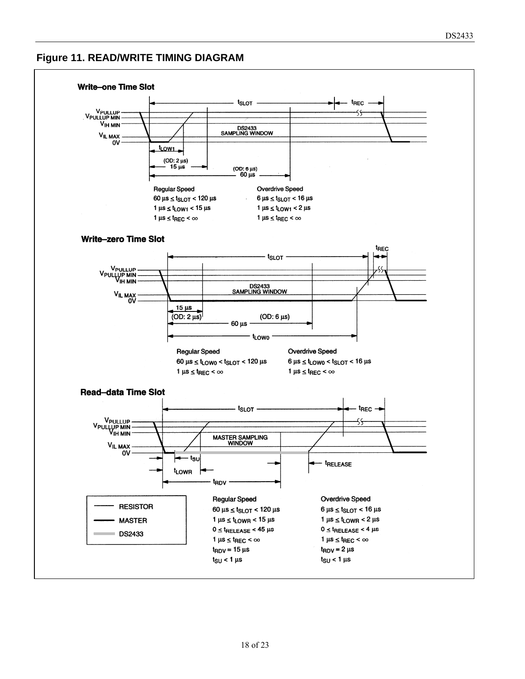#### **Figure 11. READ/WRITE TIMING DIAGRAM**

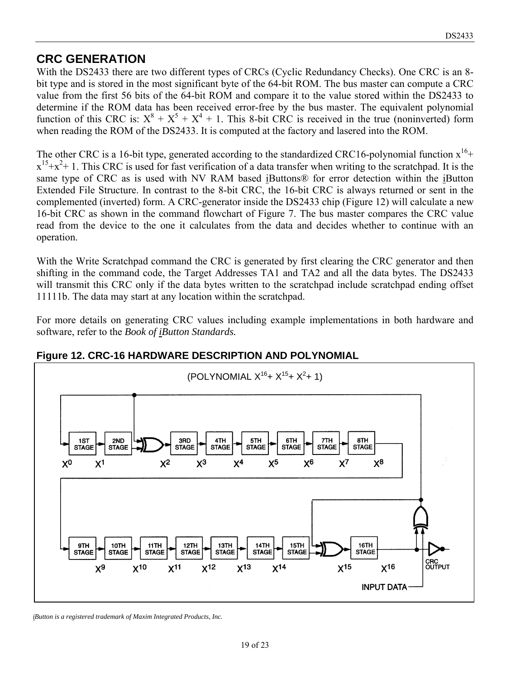#### **CRC GENERATION**

With the DS2433 there are two different types of CRCs (Cyclic Redundancy Checks). One CRC is an 8 bit type and is stored in the most significant byte of the 64-bit ROM. The bus master can compute a CRC value from the first 56 bits of the 64-bit ROM and compare it to the value stored within the DS2433 to determine if the ROM data has been received error-free by the bus master. The equivalent polynomial function of this CRC is:  $X^8 + X^5 + X^4 + 1$ . This 8-bit CRC is received in the true (noninverted) form when reading the ROM of the DS2433. It is computed at the factory and lasered into the ROM.

The other CRC is a 16-bit type, generated according to the standardized CRC16-polynomial function  $x^{16}$ +  $x^{15}+x^2+1$ . This CRC is used for fast verification of a data transfer when writing to the scratchpad. It is the same type of CRC as is used with NV RAM based iButtons® for error detection within the iButton Extended File Structure. In contrast to the 8-bit CRC, the 16-bit CRC is always returned or sent in the complemented (inverted) form. A CRC-generator inside the DS2433 chip (Figure 12) will calculate a new 16-bit CRC as shown in the command flowchart of Figure 7. The bus master compares the CRC value read from the device to the one it calculates from the data and decides whether to continue with an operation.

With the Write Scratchpad command the CRC is generated by first clearing the CRC generator and then shifting in the command code, the Target Addresses TA1 and TA2 and all the data bytes. The DS2433 will transmit this CRC only if the data bytes written to the scratchpad include scratchpad ending offset 11111b. The data may start at any location within the scratchpad.

For more details on generating CRC values including example implementations in both hardware and software, refer to the *Book of iButton Standards.*



#### **Figure 12. CRC-16 HARDWARE DESCRIPTION AND POLYNOMIAL**

*iButton is a registered trademark of Maxim Integrated Products, Inc.*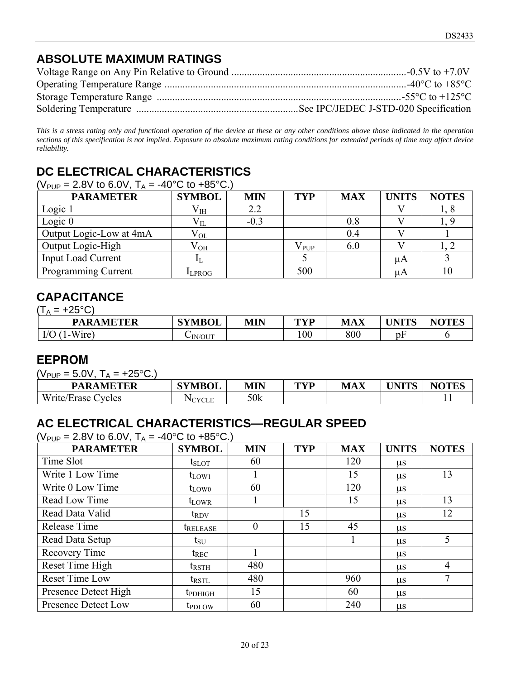### **ABSOLUTE MAXIMUM RATINGS**

| $-40^{\circ}$ C to $+85^{\circ}$ C |
|------------------------------------|
|                                    |
|                                    |

*This is a stress rating only and functional operation of the device at these or any other conditions above those indicated in the operation sections of this specification is not implied. Exposure to absolute maximum rating conditions for extended periods of time may affect device reliability.* 

### **DC ELECTRICAL CHARACTERISTICS**

| ( $V_{\text{PUP}}$ = 2.8V to 6.0V, T <sub>A</sub> = -40°C to +85°C.) |  |
|----------------------------------------------------------------------|--|
|----------------------------------------------------------------------|--|

| <b>PARAMETER</b>          | <b>SYMBOL</b> | <b>MIN</b> | <b>TYP</b>    | <b>MAX</b> | <b>UNITS</b> | <b>NOTES</b> |
|---------------------------|---------------|------------|---------------|------------|--------------|--------------|
| Logic 1                   | $\rm V_{IH}$  | 2.2        |               |            |              | 1, 0         |
| Logic $0$                 | $\rm V_{II}$  | $-0.3$     |               | 0.8        |              |              |
| Output Logic-Low at 4mA   | $\rm V_{OL}$  |            |               | 0.4        |              |              |
| Output Logic-High         | $\rm V_{OH}$  |            | $V_{\rm PUP}$ | 6.0        |              |              |
| <b>Input Load Current</b> |               |            |               |            | μA           |              |
| Programming Current       | <b>LEPROG</b> |            | 500           |            | μA           |              |

#### **CAPACITANCE**

|--|

| <b>PARAMETER</b>           | <b>SYMBOL</b> | <b>MIN</b> | TVD<br>1 L | <b>MAX</b> | <b>IINITC</b> | <b>NOTES</b> |
|----------------------------|---------------|------------|------------|------------|---------------|--------------|
| T T T<br>I/O<br>l - Wire I | $\sim$ IN/OUT |            | 100        | 800        | r<br>pF       |              |

### **EEPROM**

 $(V_{\text{PID}} = 5.0V, T_{\text{A}} = +25^{\circ}C.$ 

| <b>PARAMETER</b>                 | <b>SYMBOL</b> | <b>MIN</b> | TVD<br>. . | <b>MAX</b> | <b>TIMITE</b><br>'N.<br>11 I D | $\bf M\Delta T\bf R$<br>Nt<br><b>TEC</b> |
|----------------------------------|---------------|------------|------------|------------|--------------------------------|------------------------------------------|
| T T T<br>vcles<br>Write<br>≞rase |               | 50k        |            |            |                                | . .                                      |

### **AC ELECTRICAL CHARACTERISTICS—REGULAR SPEED**

 $(V_{\text{PIIP}} = 2.8V \text{ to } 6.0V, T_A = -40^{\circ}C \text{ to } +85^{\circ}C.$ 

| ו שי<br><b>PARAMETER</b> | <b>SYMBOL</b>              | <b>MIN</b> | <b>TYP</b> | <b>MAX</b> | <b>UNITS</b> | <b>NOTES</b>   |
|--------------------------|----------------------------|------------|------------|------------|--------------|----------------|
| Time Slot                | $t_{\text{SLOT}}$          | 60         |            | 120        | $\mu$ s      |                |
| Write 1 Low Time         | $t_{LOW1}$                 |            |            | 15         | $\mu$ s      | 13             |
| Write 0 Low Time         | $t_{LOW0}$                 | 60         |            | 120        | $\mu$ s      |                |
| Read Low Time            | $t_{LOWR}$                 |            |            | 15         | $\mu$ s      | 13             |
| Read Data Valid          | $t_{\rm{RDV}}$             |            | 15         |            | $\mu$ s      | 12             |
| Release Time             | <i><b>TRELEASE</b></i>     | 0          | 15         | 45         | $\mu$ s      |                |
| Read Data Setup          | $t_{\rm SU}$               |            |            |            | $\mu$ s      | 5              |
| Recovery Time            | $t_{REC}$                  |            |            |            | $\mu$ s      |                |
| Reset Time High          | $t_{\rm RSTH}$             | 480        |            |            | $\mu$ s      | $\overline{4}$ |
| <b>Reset Time Low</b>    | $t_{\rm RSTL}$             | 480        |            | 960        | $\mu$ s      | 7              |
| Presence Detect High     | <b>t</b> <sub>PDHIGH</sub> | 15         |            | 60         | $\mu$ s      |                |
| Presence Detect Low      | <b>t</b> <sub>PDLOW</sub>  | 60         |            | 240        | $\mu$ s      |                |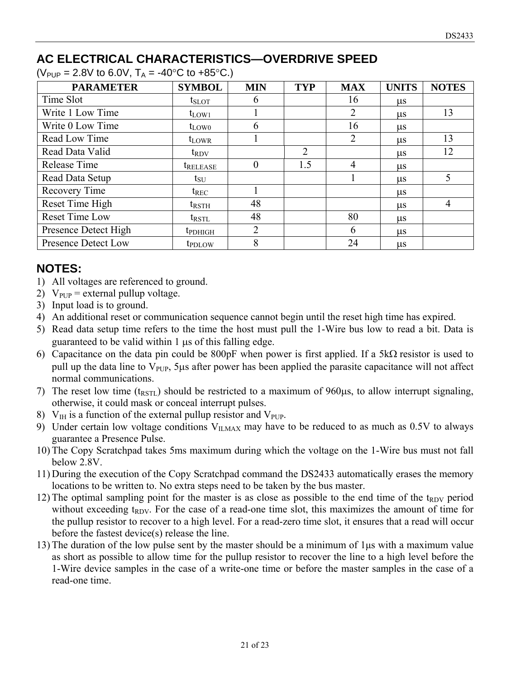### **AC ELECTRICAL CHARACTERISTICS—OVERDRIVE SPEED**

 $(V_{PUP} = 2.8V$  to 6.0V,  $T_A = -40\degree C$  to  $+85\degree C$ .)

| <b>PARAMETER</b>      | <b>SYMBOL</b>        | <b>MIN</b>     | <b>TYP</b>     | <b>MAX</b>     | <b>UNITS</b> | <b>NOTES</b>   |
|-----------------------|----------------------|----------------|----------------|----------------|--------------|----------------|
| Time Slot             | $t_{\rm SLOT}$       | 6              |                | 16             | $\mu$ s      |                |
| Write 1 Low Time      | $t_{LOW1}$           |                |                | 2              | <b>us</b>    | 13             |
| Write 0 Low Time      | $t_{LOW0}$           | 6              |                | 16             | <b>us</b>    |                |
| Read Low Time         | $t_{LOWR}$           |                |                | $\overline{2}$ | $\mu$ s      | 13             |
| Read Data Valid       | $t_{\rm{RDV}}$       |                | $\overline{2}$ |                | $\mu$ s      | 12             |
| Release Time          | t <sub>release</sub> | $\theta$       | 1.5            | $\overline{4}$ | <b>us</b>    |                |
| Read Data Setup       | $t_{\rm SU}$         |                |                |                | $\mu$ s      | 5              |
| Recovery Time         | $t_{REC}$            |                |                |                | $\mu$ s      |                |
| Reset Time High       | $t_{\rm RSTH}$       | 48             |                |                | $\mu$ s      | $\overline{4}$ |
| <b>Reset Time Low</b> | $t_{\text{RSTL}}$    | 48             |                | 80             | <b>us</b>    |                |
| Presence Detect High  | <b>t</b> pdhigh      | $\overline{2}$ |                | 6              | $\mu$ s      |                |
| Presence Detect Low   | t <sub>PDLOW</sub>   | 8              |                | 24             | $\mu$ s      |                |

### **NOTES:**

- 1) All voltages are referenced to ground.
- 2)  $V_{\text{PUP}}$  = external pullup voltage.
- 3) Input load is to ground.
- 4) An additional reset or communication sequence cannot begin until the reset high time has expired.
- 5) Read data setup time refers to the time the host must pull the 1-Wire bus low to read a bit. Data is guaranteed to be valid within  $1 \mu s$  of this falling edge.
- 6) Capacitance on the data pin could be 800pF when power is first applied. If a  $5k\Omega$  resistor is used to pull up the data line to  $V_{\text{PUP}}$ , 5µs after power has been applied the parasite capacitance will not affect normal communications.
- 7) The reset low time  $(t_{RSTL})$  should be restricted to a maximum of 960 $\mu$ s, to allow interrupt signaling, otherwise, it could mask or conceal interrupt pulses.
- 8)  $V_{IH}$  is a function of the external pullup resistor and  $V_{PIP}$ .
- 9) Under certain low voltage conditions  $V_{ILMAX}$  may have to be reduced to as much as 0.5V to always guarantee a Presence Pulse.
- 10) The Copy Scratchpad takes 5ms maximum during which the voltage on the 1-Wire bus must not fall below 2.8V.
- 11) During the execution of the Copy Scratchpad command the DS2433 automatically erases the memory locations to be written to. No extra steps need to be taken by the bus master.
- 12) The optimal sampling point for the master is as close as possible to the end time of the  $t_{RDV}$  period without exceeding  $t_{RDV}$ . For the case of a read-one time slot, this maximizes the amount of time for the pullup resistor to recover to a high level. For a read-zero time slot, it ensures that a read will occur before the fastest device(s) release the line.
- 13) The duration of the low pulse sent by the master should be a minimum of 1μs with a maximum value as short as possible to allow time for the pullup resistor to recover the line to a high level before the 1-Wire device samples in the case of a write-one time or before the master samples in the case of a read-one time.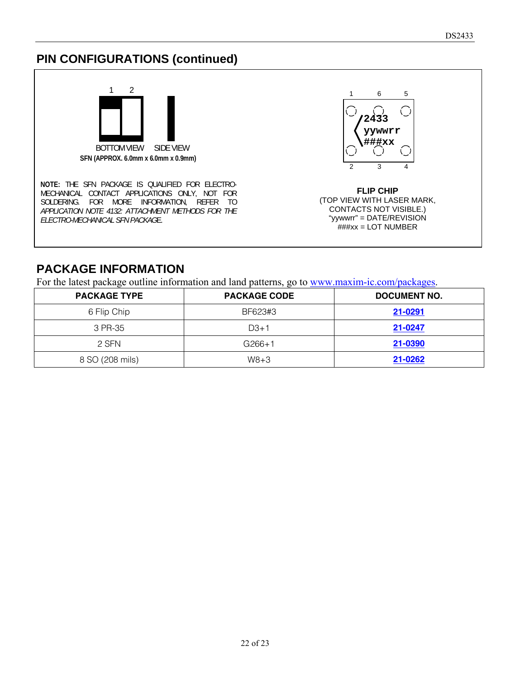### **PIN CONFIGURATIONS (continued)**



**NOTE:** THE SFN PACKAGE IS QUALIFIED FOR ELECTRO-MECHANICAL CONTACT APPLICATIONS ONLY, NOT FOR SOLDERING. FOR MORE INFORMATION, REFER TO *APPLICATION NOTE 4132: ATTACHMENT METHODS FOR THE ELECTRO-MECHANICAL SFN PACKAG*E.



**FLIP CHIP**  (TOP VIEW WITH LASER MARK, CONTACTS NOT VISIBLE.) "yywwrr" = DATE/REVISION  $#$ ###xx = LOT NUMBER

#### **PACKAGE INFORMATION**

For the latest package outline information and land patterns, go to [www.maxim-ic.com/packages.](http://www.maxim-ic.com/packages)

| <b>PACKAGE TYPE</b> | <b>PACKAGE CODE</b> | <b>DOCUMENT NO.</b> |
|---------------------|---------------------|---------------------|
| 6 Flip Chip         | BF623#3             | 21-0291             |
| 3 PR-35             | $D3+1$              | 21-0247             |
| 2 SFN               | $G266+1$            | 21-0390             |
| 8 SO (208 mils)     | $W8 + 3$            | 21-0262             |